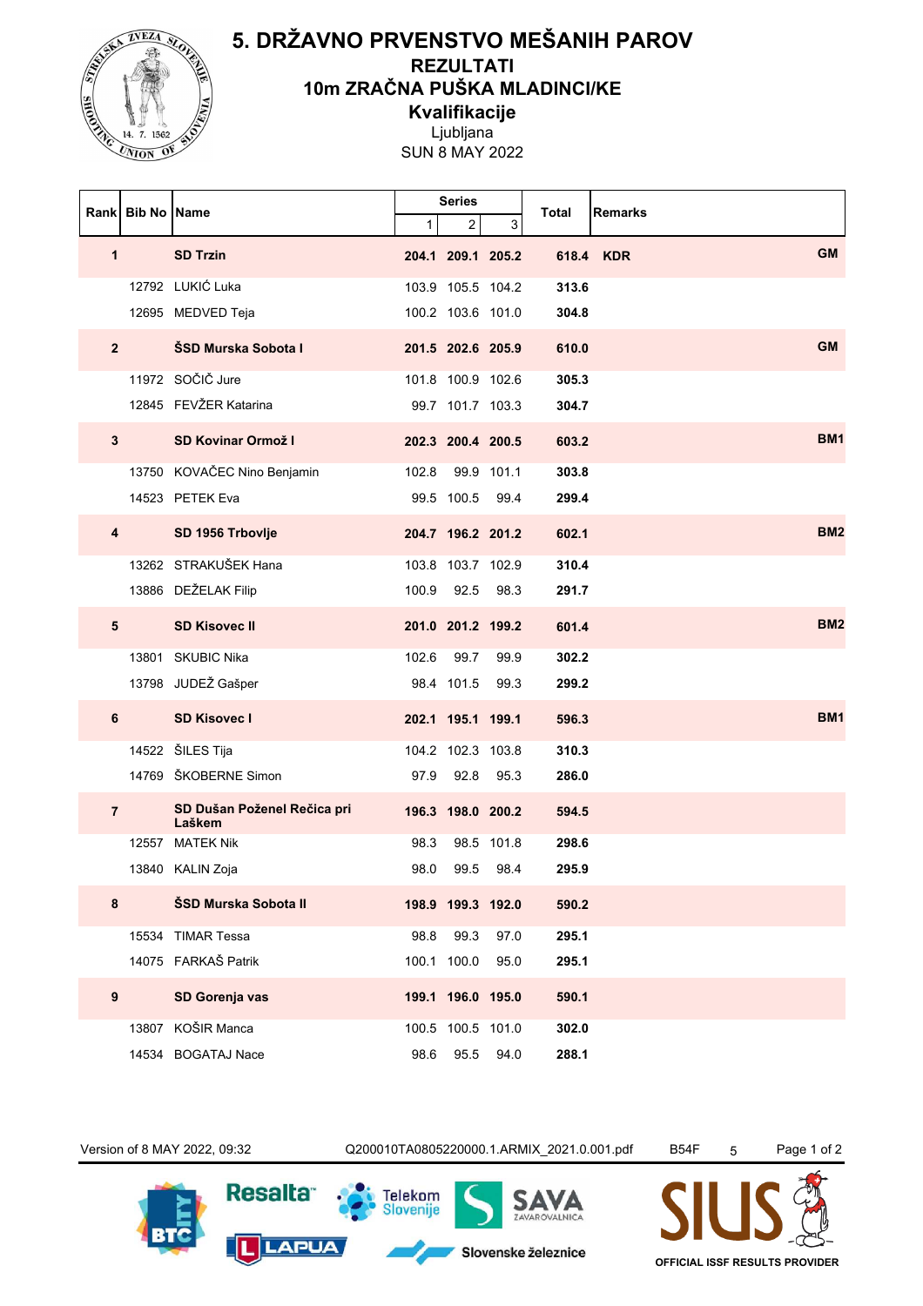

## **5. DRŽAVNO PRVENSTVO MEŠANIH PAROV**

**REZULTATI**

**10m ZRAČNA PUŠKA MLADINCI/KE**

**Kvalifikacije**

Ljubljana

SUN 8 MAY 2022

|                  | Rank Bib No Name |                                       | <b>Series</b> |                   |            | Total | <b>Remarks</b>         |
|------------------|------------------|---------------------------------------|---------------|-------------------|------------|-------|------------------------|
|                  |                  |                                       | $\mathbf{1}$  | 2                 | 3          |       |                        |
| $\mathbf{1}$     |                  | <b>SD Trzin</b>                       |               | 204.1 209.1 205.2 |            |       | <b>GM</b><br>618.4 KDR |
|                  |                  | 12792 LUKIĆ Luka                      |               | 103.9 105.5 104.2 |            | 313.6 |                        |
|                  |                  | 12695 MEDVED Teja                     |               | 100.2 103.6 101.0 |            | 304.8 |                        |
| 2 <sup>1</sup>   |                  | ŠSD Murska Sobota I                   |               | 201.5 202.6 205.9 |            | 610.0 | <b>GM</b>              |
|                  |                  | 11972 SOČIČ Jure                      |               | 101.8 100.9 102.6 |            | 305.3 |                        |
|                  |                  | 12845 FEVŽER Katarina                 |               | 99.7 101.7 103.3  |            | 304.7 |                        |
| $3\phantom{a}$   |                  | <b>SD Kovinar Ormož I</b>             |               | 202.3 200.4 200.5 |            | 603.2 | <b>BM1</b>             |
|                  |                  | 13750 KOVAČEC Nino Benjamin           | 102.8         |                   | 99.9 101.1 | 303.8 |                        |
|                  |                  | 14523 PETEK Eva                       |               | 99.5 100.5        | 99.4       | 299.4 |                        |
| 4                |                  | SD 1956 Trbovlje                      |               | 204.7 196.2 201.2 |            | 602.1 | BM <sub>2</sub>        |
|                  |                  | 13262 STRAKUŠEK Hana                  |               | 103.8 103.7 102.9 |            | 310.4 |                        |
|                  |                  | 13886 DEŽELAK Filip                   | 100.9         | 92.5              | 98.3       | 291.7 |                        |
| $5\phantom{1}$   |                  | <b>SD Kisovec II</b>                  |               | 201.0 201.2 199.2 |            | 601.4 | BM <sub>2</sub>        |
|                  |                  | 13801 SKUBIC Nika                     | 102.6         | 99.7              | 99.9       | 302.2 |                        |
|                  |                  | 13798 JUDEŽ Gašper                    |               | 98.4 101.5        | 99.3       | 299.2 |                        |
| 6                |                  | <b>SD Kisovec I</b>                   |               | 202.1 195.1 199.1 |            | 596.3 | <b>BM1</b>             |
|                  |                  | 14522 ŠILES Tija                      |               | 104.2 102.3 103.8 |            | 310.3 |                        |
|                  |                  | 14769 ŠKOBERNE Simon                  | 97.9          | 92.8              | 95.3       | 286.0 |                        |
| $\overline{7}$   |                  | SD Dušan Poženel Rečica pri<br>Laškem |               | 196.3 198.0 200.2 |            | 594.5 |                        |
|                  |                  | 12557 MATEK Nik                       | 98.3          |                   | 98.5 101.8 | 298.6 |                        |
|                  |                  | 13840 KALIN Zoja                      | 98.0          | 99.5              | 98.4       | 295.9 |                        |
| 8                |                  | ŠSD Murska Sobota II                  |               | 198.9 199.3 192.0 |            | 590.2 |                        |
|                  |                  | 15534 TIMAR Tessa                     | 98.8          | 99.3              | 97.0       | 295.1 |                        |
|                  |                  | 14075 FARKAŠ Patrik                   |               | 100.1 100.0       | 95.0       | 295.1 |                        |
| $\boldsymbol{9}$ |                  | SD Gorenja vas                        |               | 199.1 196.0 195.0 |            | 590.1 |                        |
|                  |                  | 13807 KOŠIR Manca                     |               | 100.5 100.5 101.0 |            | 302.0 |                        |
|                  |                  | 14534 BOGATAJ Nace                    |               | 98.6 95.5 94.0    |            | 288.1 |                        |

Version of 8 MAY 2022, 09:32 Q200010TA0805220000.1.ARMIX\_2021.0.001.pdf B54F 5 Page 1 of 2 **Resalta Telekom** SAVA Slovenije ZAVAROVALNICA **LAPUA** IL Slovenske železnice

**OFFICIAL ISSF RESULTS PROVIDER**